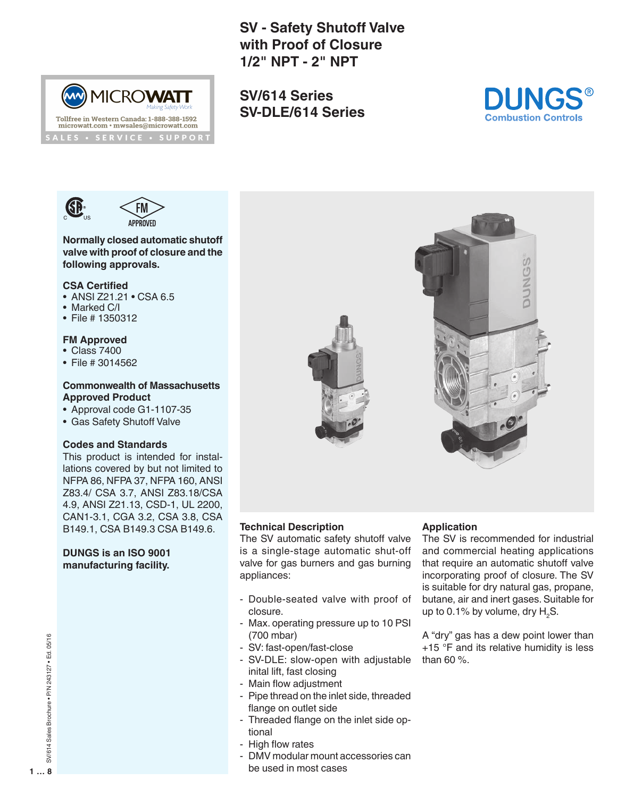**SV - Safety Shutoff Valve with Proof of Closure 1/2" NPT - 2" NPT**

**SV/614 Series SV-DLE/614 Series**





(MW) MICROWATT

Tollfree in Western Canada: 1-888-388-1592<br>microwatt.com • mwsales@microwatt.com LES · SERVICE · SUPPORT

**Normally closed automatic shutoff valve with proof of closure and the following approvals.**

#### **CSA Certified**

- ANSI Z21.21 CSA 6.5
- Marked C/I
- File # 1350312

# **FM Approved**

- Class 7400
- File # 3014562

## **Commonwealth of Massachusetts Approved Product**

- Approval code G1-1107-35
- Gas Safety Shutoff Valve

# **Codes and Standards**

This product is intended for installations covered by but not limited to NFPA 86, NFPA 37, NFPA 160, ANSI Z83.4/ CSA 3.7, ANSI Z83.18/CSA 4.9, ANSI Z21.13, CSD-1, UL 2200, CAN1-3.1, CGA 3.2, CSA 3.8, CSA B149.1, CSA B149.3 CSA B149.6.

## **DUNGS is an ISO 9001 manufacturing facility.**



## **Technical Description**

The SV automatic safety shutoff valve is a single-stage automatic shut-off valve for gas burners and gas burning appliances:

- Double-seated valve with proof of closure.
- Max. operating pressure up to 10 PSI (700 mbar)
- SV: fast-open/fast-close
- SV-DLE: slow-open with adjustable inital lift, fast closing
- Main flow adjustment
- Pipe thread on the inlet side, threaded flange on outlet side
- Threaded flange on the inlet side optional
- High flow rates
- DMV modular mount accessories can be used in most cases

# **Application**

The SV is recommended for industrial and commercial heating applications that require an automatic shutoff valve incorporating proof of closure. The SV is suitable for dry natural gas, propane, butane, air and inert gases. Suitable for up to 0.1% by volume, dry  $H_{2}$ S.

A "dry" gas has a dew point lower than +15 °F and its relative humidity is less than 60 %.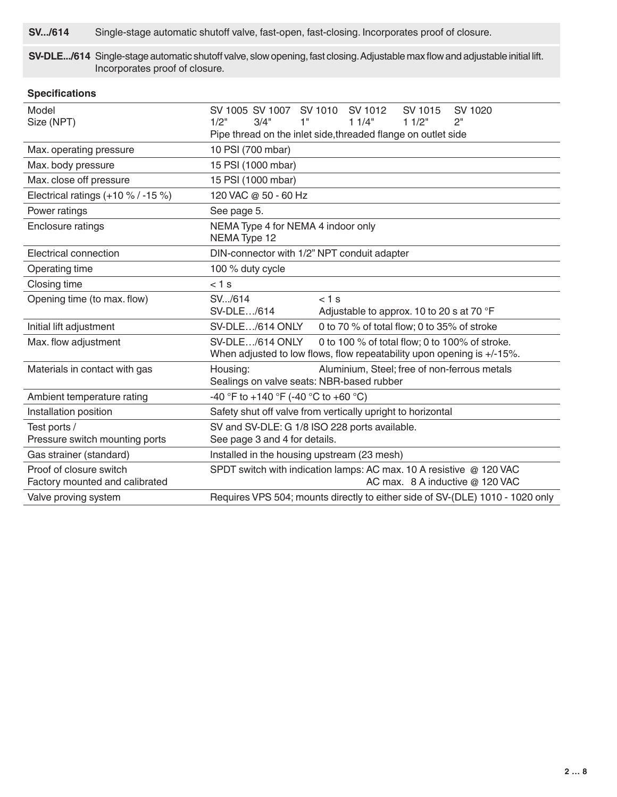**SV.../614** Single-stage automatic shutoff valve, fast-open, fast-closing. Incorporates proof of closure.

**SV-DLE.../614** Single-stage automatic shutoff valve, slow opening, fast closing. Adjustable max flow and adjustable initial lift. Incorporates proof of closure.

| <b>Specifications</b>                                     |                                                                               |                                                                                                                          |                  |               |  |  |
|-----------------------------------------------------------|-------------------------------------------------------------------------------|--------------------------------------------------------------------------------------------------------------------------|------------------|---------------|--|--|
| Model<br>Size (NPT)                                       | SV 1005 SV 1007 SV 1010 SV 1012<br>1"<br>1/2"<br>3/4"                         | 11/4"                                                                                                                    | SV 1015<br>11/2" | SV 1020<br>2" |  |  |
|                                                           | Pipe thread on the inlet side, threaded flange on outlet side                 |                                                                                                                          |                  |               |  |  |
| Max. operating pressure                                   | 10 PSI (700 mbar)                                                             |                                                                                                                          |                  |               |  |  |
| Max. body pressure                                        | 15 PSI (1000 mbar)                                                            |                                                                                                                          |                  |               |  |  |
| Max. close off pressure                                   | 15 PSI (1000 mbar)                                                            |                                                                                                                          |                  |               |  |  |
| Electrical ratings (+10 % / -15 %)                        | 120 VAC @ 50 - 60 Hz                                                          |                                                                                                                          |                  |               |  |  |
| Power ratings                                             | See page 5.                                                                   |                                                                                                                          |                  |               |  |  |
| Enclosure ratings                                         | NEMA Type 4 for NEMA 4 indoor only<br>NEMA Type 12                            |                                                                                                                          |                  |               |  |  |
| Electrical connection                                     | DIN-connector with 1/2" NPT conduit adapter                                   |                                                                                                                          |                  |               |  |  |
| Operating time                                            | 100 % duty cycle                                                              |                                                                                                                          |                  |               |  |  |
| Closing time                                              | $< 1$ s                                                                       |                                                                                                                          |                  |               |  |  |
| Opening time (to max. flow)                               | SV/614<br>SV-DLE/614                                                          | $< 1$ s<br>Adjustable to approx. 10 to 20 s at 70 °F                                                                     |                  |               |  |  |
| Initial lift adjustment                                   | SV-DLE/614 ONLY                                                               | 0 to 70 % of total flow; 0 to 35% of stroke                                                                              |                  |               |  |  |
| Max. flow adjustment                                      | SV-DLE/614 ONLY                                                               | 0 to 100 % of total flow; 0 to 100% of stroke.<br>When adjusted to low flows, flow repeatability upon opening is +/-15%. |                  |               |  |  |
| Materials in contact with gas                             | Housing:                                                                      | Aluminium, Steel; free of non-ferrous metals<br>Sealings on valve seats: NBR-based rubber                                |                  |               |  |  |
| Ambient temperature rating                                | -40 °F to +140 °F (-40 °C to +60 °C)                                          |                                                                                                                          |                  |               |  |  |
| Installation position                                     | Safety shut off valve from vertically upright to horizontal                   |                                                                                                                          |                  |               |  |  |
| Test ports /                                              | SV and SV-DLE: G 1/8 ISO 228 ports available.                                 |                                                                                                                          |                  |               |  |  |
| Pressure switch mounting ports                            | See page 3 and 4 for details.                                                 |                                                                                                                          |                  |               |  |  |
| Gas strainer (standard)                                   |                                                                               | Installed in the housing upstream (23 mesh)                                                                              |                  |               |  |  |
| Proof of closure switch<br>Factory mounted and calibrated |                                                                               | SPDT switch with indication lamps: AC max. 10 A resistive @ 120 VAC<br>AC max. 8 A inductive @ 120 VAC                   |                  |               |  |  |
| Valve proving system                                      | Requires VPS 504; mounts directly to either side of SV-(DLE) 1010 - 1020 only |                                                                                                                          |                  |               |  |  |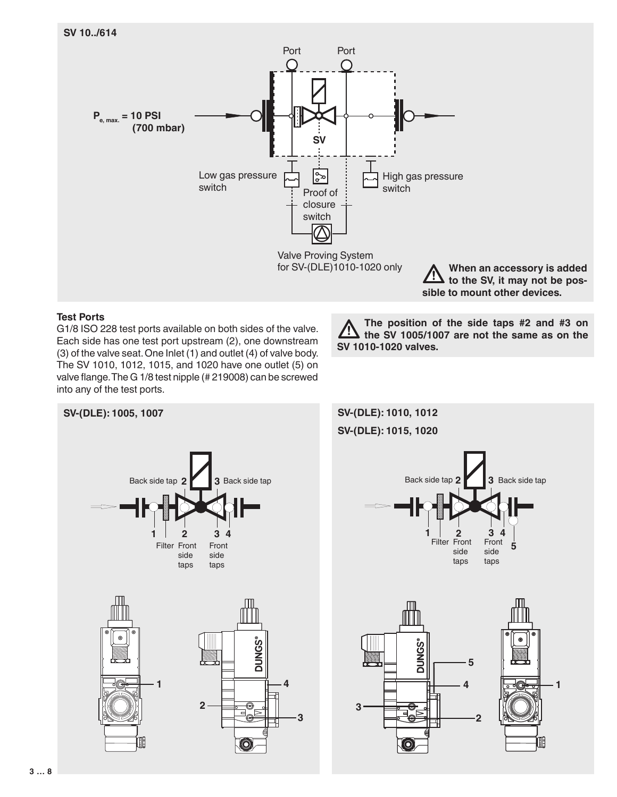

Valve Proving System for SV-(DLE)1010-1020 only

**When an accessory is added to the SV, it may not be possible to mount other devices.**

## **Test Ports**

G1/8 ISO 228 test ports available on both sides of the valve. Each side has one test port upstream (2), one downstream (3) of the valve seat. One Inlet (1) and outlet (4) of valve body. The SV 1010, 1012, 1015, and 1020 have one outlet (5) on valve flange. The G 1/8 test nipple (# 219008) can be screwed into any of the test ports.





**3 … 8**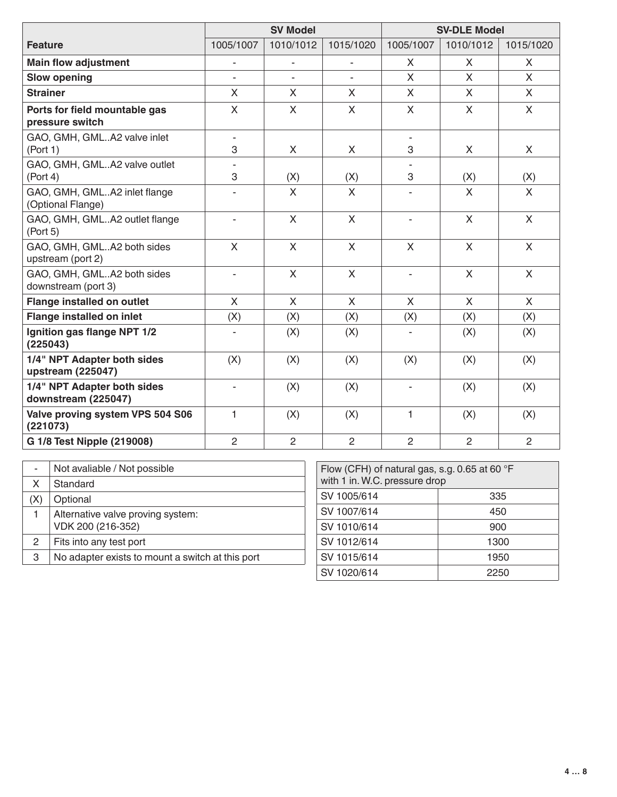|                                                    | <b>SV Model</b>          |                | <b>SV-DLE Model</b> |                |                           |                |
|----------------------------------------------------|--------------------------|----------------|---------------------|----------------|---------------------------|----------------|
| <b>Feature</b>                                     | 1005/1007                | 1010/1012      | 1015/1020           | 1005/1007      | 1010/1012                 | 1015/1020      |
| <b>Main flow adjustment</b>                        |                          |                |                     | X              | X                         | $\times$       |
| <b>Slow opening</b>                                |                          |                |                     | $\mathsf{X}$   | $\mathsf{X}$              | $\mathsf{X}$   |
| <b>Strainer</b>                                    | $\mathsf{X}$             | $\mathsf{X}$   | $\mathsf{X}$        | X              | X                         | X              |
| Ports for field mountable gas<br>pressure switch   | $\mathsf{X}$             | $\mathsf{X}$   | X                   | X              | X                         | X              |
| GAO, GMH, GMLA2 valve inlet<br>(Port 1)            | $\sim$<br>3              | X              | X                   | 3              | X                         | X.             |
| GAO, GMH, GMLA2 valve outlet<br>(Port 4)           | 3                        | (X)            | (X)                 | 3              | (X)                       | (X)            |
| GAO, GMH, GMLA2 inlet flange<br>(Optional Flange)  |                          | $\mathsf{X}$   | $\mathsf{X}$        |                | $\boldsymbol{\mathsf{X}}$ | $\mathsf{X}$   |
| GAO, GMH, GMLA2 outlet flange<br>(Port 5)          | $\sim$                   | $\mathsf{X}$   | $\sf X$             | ÷.             | $\mathsf{X}$              | $\mathsf{X}$   |
| GAO, GMH, GMLA2 both sides<br>upstream (port 2)    | $\mathsf{X}$             | X              | $\mathsf{X}$        | X              | $\mathsf{X}$              | X              |
| GAO, GMH, GMLA2 both sides<br>downstream (port 3)  | ٠                        | $\mathsf{X}$   | $\mathsf{X}$        |                | $\mathsf{X}$              | X              |
| <b>Flange installed on outlet</b>                  | $\mathsf{X}$             | $\mathsf{X}$   | $\mathsf{X}$        | $\mathsf{X}$   | $\mathsf{X}$              | $\mathsf{X}$   |
| <b>Flange installed on inlet</b>                   | (X)                      | (X)            | (X)                 | (X)            | (X)                       | (X)            |
| Ignition gas flange NPT 1/2<br>(225043)            |                          | (X)            | (X)                 |                | (X)                       | (X)            |
| 1/4" NPT Adapter both sides<br>upstream (225047)   | (X)                      | (X)            | (X)                 | (X)            | (X)                       | (X)            |
| 1/4" NPT Adapter both sides<br>downstream (225047) | $\overline{\phantom{a}}$ | (X)            | (X)                 |                | (X)                       | (X)            |
| Valve proving system VPS 504 S06<br>(221073)       | 1                        | (X)            | (X)                 | 1              | (X)                       | (X)            |
| G 1/8 Test Nipple (219008)                         | $\overline{2}$           | $\overline{2}$ | $\overline{2}$      | $\overline{2}$ | $\overline{2}$            | $\overline{2}$ |

| ۰   | Not avaliable / Not possible                           |
|-----|--------------------------------------------------------|
| X   | Standard                                               |
| (X) | Optional                                               |
|     | Alternative valve proving system:<br>VDK 200 (216-352) |
| 2   | Fits into any test port                                |
| 3   | No adapter exists to mount a switch at this port       |

| Flow (CFH) of natural gas, s.g. 0.65 at 60 $\degree$ F<br>with 1 in. W.C. pressure drop |      |  |  |  |
|-----------------------------------------------------------------------------------------|------|--|--|--|
| SV 1005/614                                                                             | 335  |  |  |  |
| SV 1007/614                                                                             | 450  |  |  |  |
| SV 1010/614                                                                             | 900  |  |  |  |
| SV 1012/614                                                                             | 1300 |  |  |  |
| SV 1015/614                                                                             | 1950 |  |  |  |
| SV 1020/614                                                                             | 2250 |  |  |  |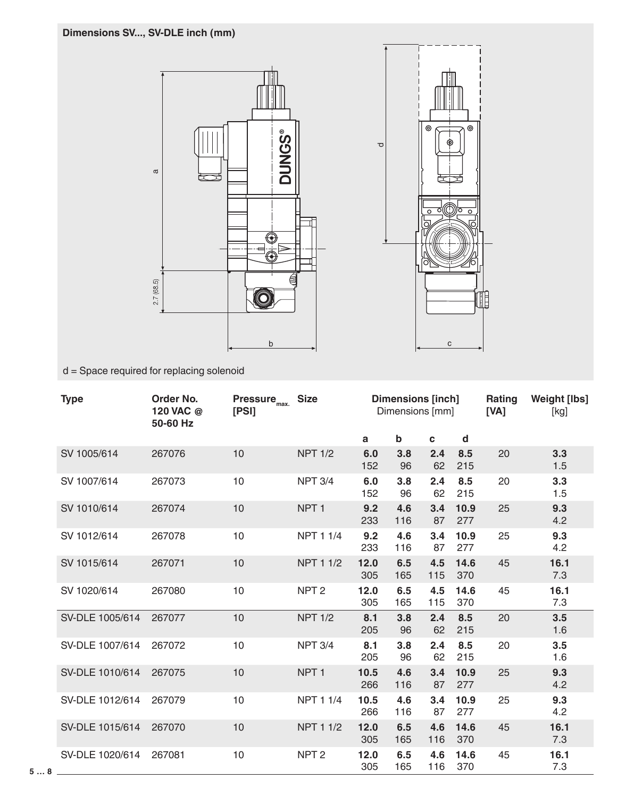# **Dimensions SV..., SV-DLE inch (mm)**





d = Space required for replacing solenoid

| <b>Type</b>     | <b>Order No.</b><br>120 VAC @<br>50-60 Hz | Pressure <sub>max.</sub><br>[PS] | <b>Size</b>      | <b>Dimensions [inch]</b><br>Dimensions [mm] |            |             | Rating<br>[VA] | <b>Weight [lbs]</b><br>[kg] |             |
|-----------------|-------------------------------------------|----------------------------------|------------------|---------------------------------------------|------------|-------------|----------------|-----------------------------|-------------|
|                 |                                           |                                  |                  | a                                           | b          | $\mathbf c$ | d              |                             |             |
| SV 1005/614     | 267076                                    | 10                               | <b>NPT 1/2</b>   | 6.0<br>152                                  | 3.8<br>96  | 2.4<br>62   | 8.5<br>215     | 20                          | 3.3<br>1.5  |
| SV 1007/614     | 267073                                    | 10                               | <b>NPT 3/4</b>   | 6.0<br>152                                  | 3.8<br>96  | 2.4<br>62   | 8.5<br>215     | 20                          | 3.3<br>1.5  |
| SV 1010/614     | 267074                                    | 10                               | NPT <sub>1</sub> | 9.2<br>233                                  | 4.6<br>116 | 3.4<br>87   | 10.9<br>277    | 25                          | 9.3<br>4.2  |
| SV 1012/614     | 267078                                    | 10                               | <b>NPT 1 1/4</b> | 9.2<br>233                                  | 4.6<br>116 | 3.4<br>87   | 10.9<br>277    | 25                          | 9.3<br>4.2  |
| SV 1015/614     | 267071                                    | 10                               | <b>NPT 1 1/2</b> | 12.0<br>305                                 | 6.5<br>165 | 4.5<br>115  | 14.6<br>370    | 45                          | 16.1<br>7.3 |
| SV 1020/614     | 267080                                    | 10                               | NPT <sub>2</sub> | 12.0<br>305                                 | 6.5<br>165 | 4.5<br>115  | 14.6<br>370    | 45                          | 16.1<br>7.3 |
| SV-DLE 1005/614 | 267077                                    | 10                               | <b>NPT 1/2</b>   | 8.1<br>205                                  | 3.8<br>96  | 2.4<br>62   | 8.5<br>215     | 20                          | 3.5<br>1.6  |
| SV-DLE 1007/614 | 267072                                    | 10                               | <b>NPT 3/4</b>   | 8.1<br>205                                  | 3.8<br>96  | 2.4<br>62   | 8.5<br>215     | 20                          | 3.5<br>1.6  |
| SV-DLE 1010/614 | 267075                                    | 10                               | NPT <sub>1</sub> | 10.5<br>266                                 | 4.6<br>116 | 3.4<br>87   | 10.9<br>277    | 25                          | 9.3<br>4.2  |
| SV-DLE 1012/614 | 267079                                    | 10                               | <b>NPT 1 1/4</b> | 10.5<br>266                                 | 4.6<br>116 | 3.4<br>87   | 10.9<br>277    | 25                          | 9.3<br>4.2  |
| SV-DLE 1015/614 | 267070                                    | 10                               | <b>NPT 1 1/2</b> | 12.0<br>305                                 | 6.5<br>165 | 4.6<br>116  | 14.6<br>370    | 45                          | 16.1<br>7.3 |
| SV-DLE 1020/614 | 267081                                    | 10                               | NPT <sub>2</sub> | 12.0<br>305                                 | 6.5<br>165 | 4.6<br>116  | 14.6<br>370    | 45                          | 16.1<br>7.3 |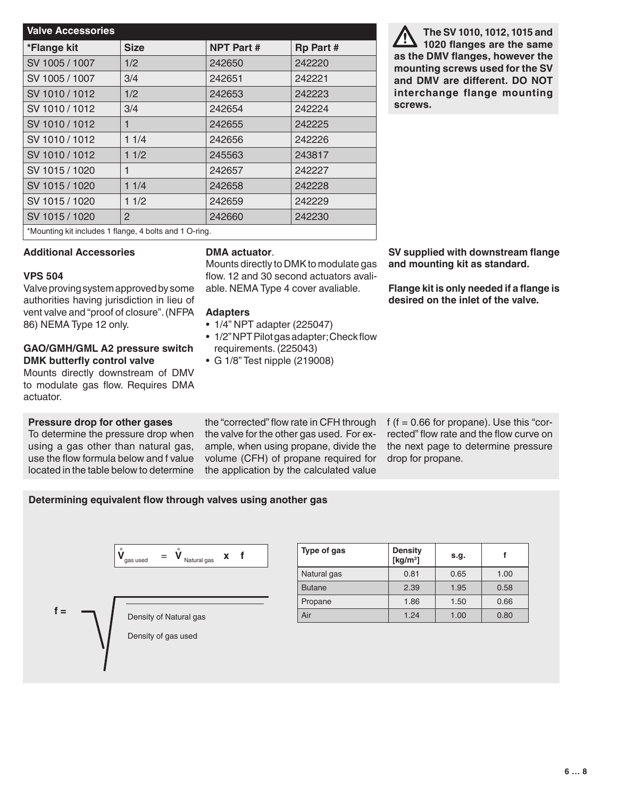| <b>Valve Accessories</b>                               |             |                   |                  |  |  |
|--------------------------------------------------------|-------------|-------------------|------------------|--|--|
| *Flange kit                                            | <b>Size</b> | <b>NPT Part #</b> | <b>Rp Part #</b> |  |  |
| SV 1005 / 1007                                         | 1/2         | 242650            | 242220           |  |  |
| SV 1005 / 1007                                         | 3/4         | 242651            | 242221           |  |  |
| SV 1010 / 1012                                         | 1/2         | 242653            | 242223           |  |  |
| SV 1010 / 1012                                         | 3/4         | 242654            | 242224           |  |  |
| SV 1010/1012                                           | 1           | 242655            | 242225           |  |  |
| SV 1010 / 1012                                         | 11/4        | 242656            | 242226           |  |  |
| SV 1010/1012                                           | 11/2        | 245563            | 243817           |  |  |
| SV 1015 / 1020                                         | 1           | 242657            | 242227           |  |  |
| SV 1015 / 1020                                         | 11/4        | 242658            | 242228           |  |  |
| SV 1015 / 1020                                         | 11/2        | 242659            | 242229           |  |  |
| SV 1015 / 1020                                         | 2           | 242660            | 242230           |  |  |
| *Mounting kit includes 1 flange, 4 bolts and 1 O-ring. |             |                   |                  |  |  |

**The SV 1010, 1012, 1015 and 1020 flanges are the same as the DMV flanges, however the mounting screws used for the SV and DMV are different. DO NOT interchange flange mounting screws.**

**SV supplied with downstream flange and mounting kit as standard.**

**Flange kit is only needed if a flange is desired on the inlet of the valve.**

## **Additional Accessories**

## **VPS 504**

Valve proving system approved by some authorities having jurisdiction in lieu of vent valve and "proof of closure". (NFPA 86) NEMA Type 12 only.

### **GAO/GMH/GML A2 pressure switch DMK butterfly control valve**

Mounts directly downstream of DMV to modulate gas flow. Requires DMA actuator.

# **Pressure drop for other gases**

To determine the pressure drop when using a gas other than natural gas, use the flow formula below and f value located in the table below to determine

## **DMA actuator**.

Mounts directly to DMK to modulate gas flow. 12 and 30 second actuators avaliable. NEMA Type 4 cover avaliable.

## **Adapters**

- 1/4" NPT adapter (225047)
- 1/2" NPT Pilot gas adapter; Check flow requirements. (225043)

the "corrected" flow rate in CFH through the valve for the other gas used. For example, when using propane, divide the volume (CFH) of propane required for the application by the calculated value

• G 1/8" Test nipple (219008)

f ( $f = 0.66$  for propane). Use this "corrected" flow rate and the flow curve on the next page to determine pressure drop for propane.

# **Determining equivalent flow through valves using another gas**



| Type of gas   | <b>Density</b><br>[ $kg/m3$ ] | s.g. |      |
|---------------|-------------------------------|------|------|
| Natural gas   | 0.81                          | 0.65 | 1.00 |
| <b>Butane</b> | 2.39                          | 1.95 | 0.58 |
| Propane       | 1.86                          | 1.50 | 0.66 |
| Air           | 1.24                          | 1.00 | 0.80 |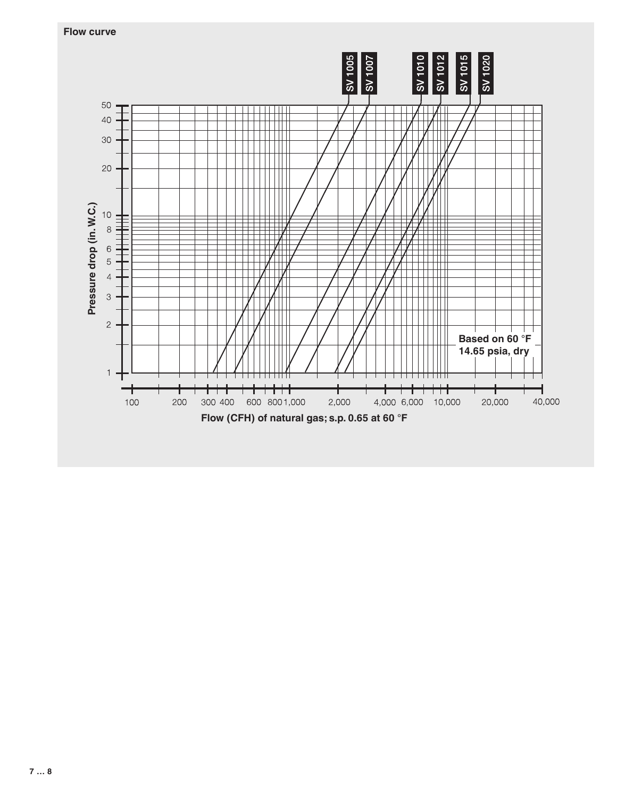